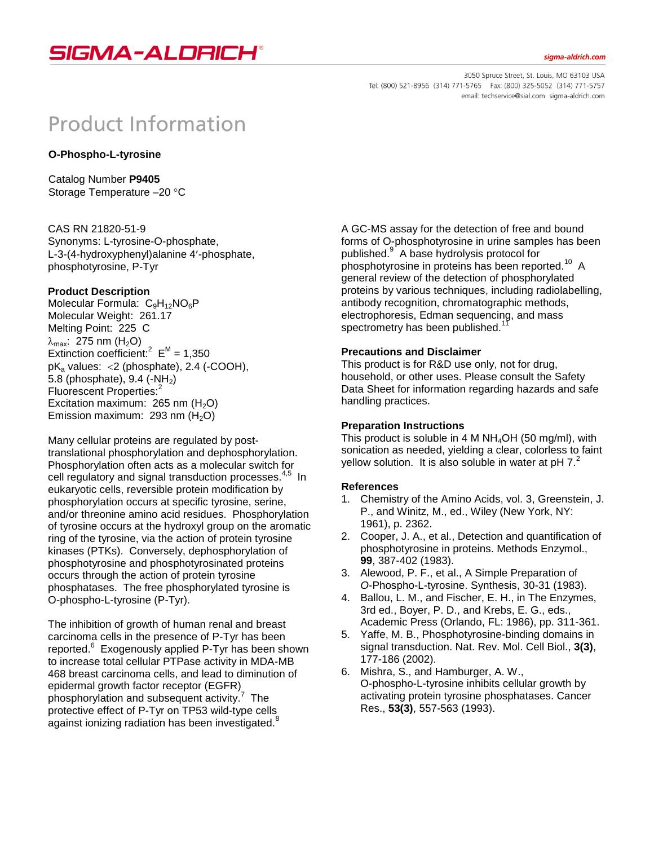

#### siama-aldrich.com

3050 Spruce Street, St. Louis, MO 63103 USA Tel: (800) 521-8956 (314) 771-5765 Fax: (800) 325-5052 (314) 771-5757 email: techservice@sial.com sigma-aldrich.com

# **Product Information**

# **O-Phospho-L-tyrosine**

Catalog Number **P9405** Storage Temperature -20 °C

CAS RN 21820-51-9 Synonyms: L-tyrosine-O-phosphate, L-3-(4-hydroxyphenyl)alanine 4-phosphate, phosphotyrosine, P-Tyr

## **Product Description**

Molecular Formula:  $C_9H_{12}NO_6P$ Molecular Weight: 261.17 Melting Point: 225 C  $\lambda_{\text{max}}$ : 275 nm (H<sub>2</sub>O) Extinction coefficient:<sup>2</sup>  $E^M = 1,350$  $pK_a$  values: <2 (phosphate), 2.4 (-COOH), 5.8 (phosphate),  $9.4$  (-NH<sub>2</sub>) Fluorescent Properties:<sup>2</sup> Excitation maximum: 265 nm  $(H<sub>2</sub>O)$ Emission maximum: 293 nm  $(H<sub>2</sub>O)$ 

Many cellular proteins are regulated by posttranslational phosphorylation and dephosphorylation. Phosphorylation often acts as a molecular switch for cell regulatory and signal transduction processes.<sup>4,5</sup> In eukaryotic cells, reversible protein modification by phosphorylation occurs at specific tyrosine, serine, and/or threonine amino acid residues. Phosphorylation of tyrosine occurs at the hydroxyl group on the aromatic ring of the tyrosine, via the action of protein tyrosine kinases (PTKs). Conversely, dephosphorylation of phosphotyrosine and phosphotyrosinated proteins occurs through the action of protein tyrosine phosphatases. The free phosphorylated tyrosine is O-phospho-L-tyrosine (P-Tyr).

The inhibition of growth of human renal and breast carcinoma cells in the presence of P-Tyr has been reported.<sup>6</sup> Exogenously applied P-Tyr has been shown to increase total cellular PTPase activity in MDA-MB 468 breast carcinoma cells, and lead to diminution of epidermal growth factor receptor (EGFR) phosphorylation and subsequent activity.<sup>7</sup> The protective effect of P-Tyr on TP53 wild-type cells against ionizing radiation has been investigated.<sup>8</sup>

A GC-MS assay for the detection of free and bound forms of O-phosphotyrosine in urine samples has been published.<sup>9</sup> A base hydrolysis protocol for phosphotyrosine in proteins has been reported.<sup>10</sup> A general review of the detection of phosphorylated proteins by various techniques, including radiolabelling, antibody recognition, chromatographic methods, electrophoresis, Edman sequencing, and mass spectrometry has been published.<sup>1</sup>

## **Precautions and Disclaimer**

This product is for R&D use only, not for drug, household, or other uses. Please consult the Safety Data Sheet for information regarding hazards and safe handling practices.

#### **Preparation Instructions**

This product is soluble in 4 M  $NH<sub>4</sub>OH$  (50 mg/ml), with sonication as needed, yielding a clear, colorless to faint yellow solution. It is also soluble in water at pH 7.<sup>2</sup>

#### **References**

- 1. Chemistry of the Amino Acids, vol. 3, Greenstein, J. P., and Winitz, M., ed., Wiley (New York, NY: 1961), p. 2362.
- 2. Cooper, J. A., et al., Detection and quantification of phosphotyrosine in proteins. Methods Enzymol., **99**, 387-402 (1983).
- 3. Alewood, P. F., et al., A Simple Preparation of *O*-Phospho-L-tyrosine. Synthesis, 30-31 (1983).
- 4. Ballou, L. M., and Fischer, E. H., in The Enzymes, 3rd ed., Boyer, P. D., and Krebs, E. G., eds., Academic Press (Orlando, FL: 1986), pp. 311-361.
- 5. Yaffe, M. B., Phosphotyrosine-binding domains in signal transduction. Nat. Rev. Mol. Cell Biol., **3(3)**, 177-186 (2002).
- 6. Mishra, S., and Hamburger, A. W., O-phospho-L-tyrosine inhibits cellular growth by activating protein tyrosine phosphatases. Cancer Res., **53(3)**, 557-563 (1993).